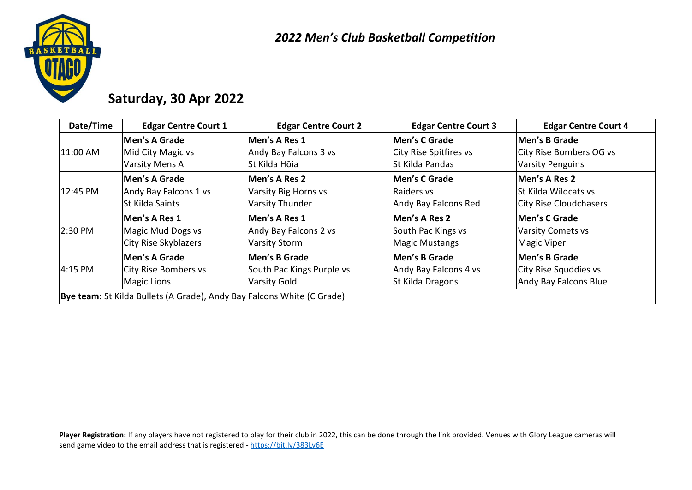

## **Saturday, 30 Apr 2022**

| Date/Time | <b>Edgar Centre Court 1</b>                                            | <b>Edgar Centre Court 2</b> | <b>Edgar Centre Court 3</b> | <b>Edgar Centre Court 4</b> |
|-----------|------------------------------------------------------------------------|-----------------------------|-----------------------------|-----------------------------|
|           | Men's A Grade                                                          | Men's A Res 1               | Men's C Grade               | Men's B Grade               |
| 11:00 AM  | Mid City Magic vs                                                      | Andy Bay Falcons 3 vs       | City Rise Spitfires vs      | City Rise Bombers OG vs     |
|           | Varsity Mens A                                                         | St Kilda Hōia               | St Kilda Pandas             | <b>Varsity Penguins</b>     |
|           | Men's A Grade                                                          | Men's A Res 2               | Men's C Grade               | Men's A Res 2               |
| 12:45 PM  | Andy Bay Falcons 1 vs                                                  | Varsity Big Horns vs        | Raiders vs                  | <b>St Kilda Wildcats vs</b> |
|           | <b>St Kilda Saints</b>                                                 | <b>Varsity Thunder</b>      | Andy Bay Falcons Red        | City Rise Cloudchasers      |
|           | Men's A Res 1                                                          | Men's A Res 1               | Men's A Res 2               | Men's C Grade               |
| 2:30 PM   | Magic Mud Dogs vs                                                      | Andy Bay Falcons 2 vs       | South Pac Kings vs          | <b>Varsity Comets vs</b>    |
|           | City Rise Skyblazers                                                   | <b>Varsity Storm</b>        | Magic Mustangs              | Magic Viper                 |
|           | Men's A Grade                                                          | Men's B Grade               | Men's B Grade               | Men's B Grade               |
| 4:15 PM   | City Rise Bombers vs                                                   | South Pac Kings Purple vs   | Andy Bay Falcons 4 vs       | City Rise Squddies vs       |
|           | <b>Magic Lions</b>                                                     | <b>Varsity Gold</b>         | St Kilda Dragons            | Andy Bay Falcons Blue       |
|           | Bye team: St Kilda Bullets (A Grade), Andy Bay Falcons White (C Grade) |                             |                             |                             |

Player Registration: If any players have not registered to play for their club in 2022, this can be done through the link provided. Venues with Glory League cameras will send game video to the email address that is registered - <https://bit.ly/383Ly6E>